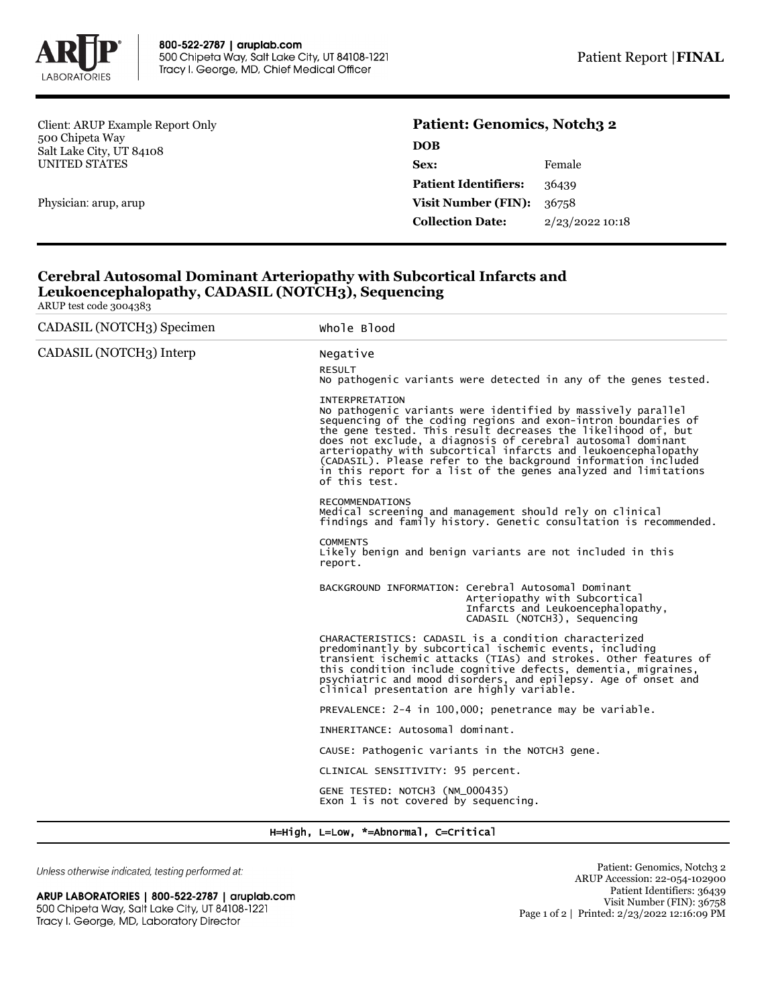

Client: ARUP Example Report Only 500 Chipeta Way Salt Lake City, UT 84108 UNITED STATES

Physician: arup, arup

## **Patient: Genomics, Notch3 2 DOB**

| ,,,,,,                      |                 |
|-----------------------------|-----------------|
| Sex:                        | Female          |
| <b>Patient Identifiers:</b> | 36439           |
| <b>Visit Number (FIN):</b>  | 36758           |
| <b>Collection Date:</b>     | 2/23/2022 10:18 |
|                             |                 |

## **Cerebral Autosomal Dominant Arteriopathy with Subcortical Infarcts and Leukoencephalopathy, CADASIL (NOTCH3), Sequencing**

ARUP test code 3004383

| CADASIL (NOTCH3) Specimen<br>Whole Blood<br>CADASIL (NOTCH3) Interp<br>Negative<br><b>RESULT</b><br>No pathogenic variants were detected in any of the genes tested.<br>INTERPRETATION<br>No pathogenic variants were identified by massively parallel<br>sequencing of the coding regions and exon-intron boundaries of<br>the gene tested. This result decreases the likelihood of, but<br>does not exclude, a diagnosis of cerebral autosomal dominant<br>arteriopathy with subcortical infarcts and leukoencephalopathy<br>(CADASIL). Please refer to the background information included<br>in this report for a list of the genes analyzed and limitations<br>of this test.<br><b>RECOMMENDATIONS</b><br>Medical screening and management should rely on clinical<br>findings and family history. Genetic consultation is recommended.<br><b>COMMENTS</b><br>Likely benign and benign variants are not included in this<br>report.<br>BACKGROUND INFORMATION: Cerebral Autosomal Dominant<br>Arteriopathy with Subcortical<br>Infarcts and Leukoencephalopathy,<br>CADASIL (NOTCH3), Sequencing<br>CHARACTERISTICS: CADASIL is a condition characterized<br>predominantly by subcortical ischemic events, including<br>transient ischemic attacks (TIAs) and strokes. Other features of<br>this condition include cognitive defects, dementia, migraines,<br>psychiatric and mood disorders, and epilepsy. Age of onset and<br>clinical presentation are highly variable.<br>PREVALENCE: 2-4 in 100,000; penetrance may be variable.<br>INHERITANCE: Autosomal dominant.<br>CAUSE: Pathogenic variants in the NOTCH3 gene.<br>CLINICAL SENSITIVITY: 95 percent.<br>GENE TESTED: NOTCH3 (NM_000435)<br>Exon 1 is not covered by sequencing. |  |
|--------------------------------------------------------------------------------------------------------------------------------------------------------------------------------------------------------------------------------------------------------------------------------------------------------------------------------------------------------------------------------------------------------------------------------------------------------------------------------------------------------------------------------------------------------------------------------------------------------------------------------------------------------------------------------------------------------------------------------------------------------------------------------------------------------------------------------------------------------------------------------------------------------------------------------------------------------------------------------------------------------------------------------------------------------------------------------------------------------------------------------------------------------------------------------------------------------------------------------------------------------------------------------------------------------------------------------------------------------------------------------------------------------------------------------------------------------------------------------------------------------------------------------------------------------------------------------------------------------------------------------------------------------------------------------------------------------------------------------------------------|--|
|                                                                                                                                                                                                                                                                                                                                                                                                                                                                                                                                                                                                                                                                                                                                                                                                                                                                                                                                                                                                                                                                                                                                                                                                                                                                                                                                                                                                                                                                                                                                                                                                                                                                                                                                                  |  |
|                                                                                                                                                                                                                                                                                                                                                                                                                                                                                                                                                                                                                                                                                                                                                                                                                                                                                                                                                                                                                                                                                                                                                                                                                                                                                                                                                                                                                                                                                                                                                                                                                                                                                                                                                  |  |
|                                                                                                                                                                                                                                                                                                                                                                                                                                                                                                                                                                                                                                                                                                                                                                                                                                                                                                                                                                                                                                                                                                                                                                                                                                                                                                                                                                                                                                                                                                                                                                                                                                                                                                                                                  |  |
|                                                                                                                                                                                                                                                                                                                                                                                                                                                                                                                                                                                                                                                                                                                                                                                                                                                                                                                                                                                                                                                                                                                                                                                                                                                                                                                                                                                                                                                                                                                                                                                                                                                                                                                                                  |  |
|                                                                                                                                                                                                                                                                                                                                                                                                                                                                                                                                                                                                                                                                                                                                                                                                                                                                                                                                                                                                                                                                                                                                                                                                                                                                                                                                                                                                                                                                                                                                                                                                                                                                                                                                                  |  |
|                                                                                                                                                                                                                                                                                                                                                                                                                                                                                                                                                                                                                                                                                                                                                                                                                                                                                                                                                                                                                                                                                                                                                                                                                                                                                                                                                                                                                                                                                                                                                                                                                                                                                                                                                  |  |
|                                                                                                                                                                                                                                                                                                                                                                                                                                                                                                                                                                                                                                                                                                                                                                                                                                                                                                                                                                                                                                                                                                                                                                                                                                                                                                                                                                                                                                                                                                                                                                                                                                                                                                                                                  |  |
|                                                                                                                                                                                                                                                                                                                                                                                                                                                                                                                                                                                                                                                                                                                                                                                                                                                                                                                                                                                                                                                                                                                                                                                                                                                                                                                                                                                                                                                                                                                                                                                                                                                                                                                                                  |  |
|                                                                                                                                                                                                                                                                                                                                                                                                                                                                                                                                                                                                                                                                                                                                                                                                                                                                                                                                                                                                                                                                                                                                                                                                                                                                                                                                                                                                                                                                                                                                                                                                                                                                                                                                                  |  |
|                                                                                                                                                                                                                                                                                                                                                                                                                                                                                                                                                                                                                                                                                                                                                                                                                                                                                                                                                                                                                                                                                                                                                                                                                                                                                                                                                                                                                                                                                                                                                                                                                                                                                                                                                  |  |
|                                                                                                                                                                                                                                                                                                                                                                                                                                                                                                                                                                                                                                                                                                                                                                                                                                                                                                                                                                                                                                                                                                                                                                                                                                                                                                                                                                                                                                                                                                                                                                                                                                                                                                                                                  |  |
|                                                                                                                                                                                                                                                                                                                                                                                                                                                                                                                                                                                                                                                                                                                                                                                                                                                                                                                                                                                                                                                                                                                                                                                                                                                                                                                                                                                                                                                                                                                                                                                                                                                                                                                                                  |  |
|                                                                                                                                                                                                                                                                                                                                                                                                                                                                                                                                                                                                                                                                                                                                                                                                                                                                                                                                                                                                                                                                                                                                                                                                                                                                                                                                                                                                                                                                                                                                                                                                                                                                                                                                                  |  |

H=High, L=Low, \*=Abnormal, C=Critical

Unless otherwise indicated, testing performed at:

ARUP LABORATORIES | 800-522-2787 | aruplab.com 500 Chipeta Way, Salt Lake City, UT 84108-1221 Tracy I. George, MD, Laboratory Director

Patient: Genomics, Notch3 2 ARUP Accession: 22-054-102900 Patient Identifiers: 36439 Visit Number (FIN): 36758 Page 1 of 2 | Printed: 2/23/2022 12:16:09 PM